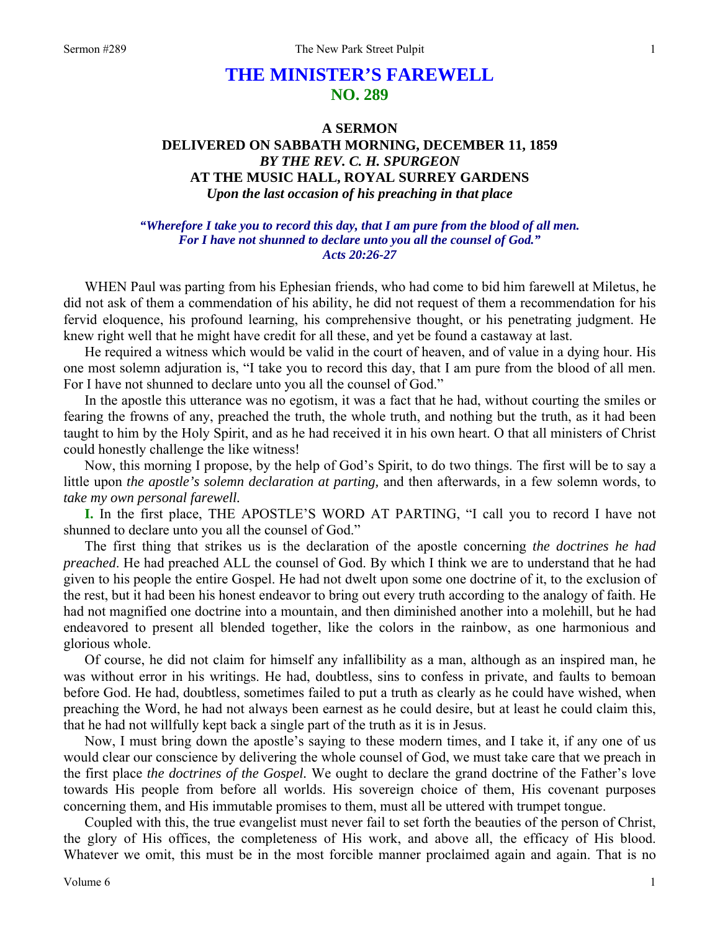## **THE MINISTER'S FAREWELL NO. 289**

## **A SERMON DELIVERED ON SABBATH MORNING, DECEMBER 11, 1859**  *BY THE REV. C. H. SPURGEON*  **AT THE MUSIC HALL, ROYAL SURREY GARDENS**  *Upon the last occasion of his preaching in that place*

## *"Wherefore I take you to record this day, that I am pure from the blood of all men. For I have not shunned to declare unto you all the counsel of God." Acts 20:26-27*

WHEN Paul was parting from his Ephesian friends, who had come to bid him farewell at Miletus, he did not ask of them a commendation of his ability, he did not request of them a recommendation for his fervid eloquence, his profound learning, his comprehensive thought, or his penetrating judgment. He knew right well that he might have credit for all these, and yet be found a castaway at last.

He required a witness which would be valid in the court of heaven, and of value in a dying hour. His one most solemn adjuration is, "I take you to record this day, that I am pure from the blood of all men. For I have not shunned to declare unto you all the counsel of God."

In the apostle this utterance was no egotism, it was a fact that he had, without courting the smiles or fearing the frowns of any, preached the truth, the whole truth, and nothing but the truth, as it had been taught to him by the Holy Spirit, and as he had received it in his own heart. O that all ministers of Christ could honestly challenge the like witness!

Now, this morning I propose, by the help of God's Spirit, to do two things. The first will be to say a little upon *the apostle's solemn declaration at parting,* and then afterwards, in a few solemn words, to *take my own personal farewell.*

**I.** In the first place, THE APOSTLE'S WORD AT PARTING, "I call you to record I have not shunned to declare unto you all the counsel of God."

The first thing that strikes us is the declaration of the apostle concerning *the doctrines he had preached*. He had preached ALL the counsel of God. By which I think we are to understand that he had given to his people the entire Gospel. He had not dwelt upon some one doctrine of it, to the exclusion of the rest, but it had been his honest endeavor to bring out every truth according to the analogy of faith. He had not magnified one doctrine into a mountain, and then diminished another into a molehill, but he had endeavored to present all blended together, like the colors in the rainbow, as one harmonious and glorious whole.

Of course, he did not claim for himself any infallibility as a man, although as an inspired man, he was without error in his writings. He had, doubtless, sins to confess in private, and faults to bemoan before God. He had, doubtless, sometimes failed to put a truth as clearly as he could have wished, when preaching the Word, he had not always been earnest as he could desire, but at least he could claim this, that he had not willfully kept back a single part of the truth as it is in Jesus.

Now, I must bring down the apostle's saying to these modern times, and I take it, if any one of us would clear our conscience by delivering the whole counsel of God, we must take care that we preach in the first place *the doctrines of the Gospel.* We ought to declare the grand doctrine of the Father's love towards His people from before all worlds. His sovereign choice of them, His covenant purposes concerning them, and His immutable promises to them, must all be uttered with trumpet tongue.

Coupled with this, the true evangelist must never fail to set forth the beauties of the person of Christ, the glory of His offices, the completeness of His work, and above all, the efficacy of His blood. Whatever we omit, this must be in the most forcible manner proclaimed again and again. That is no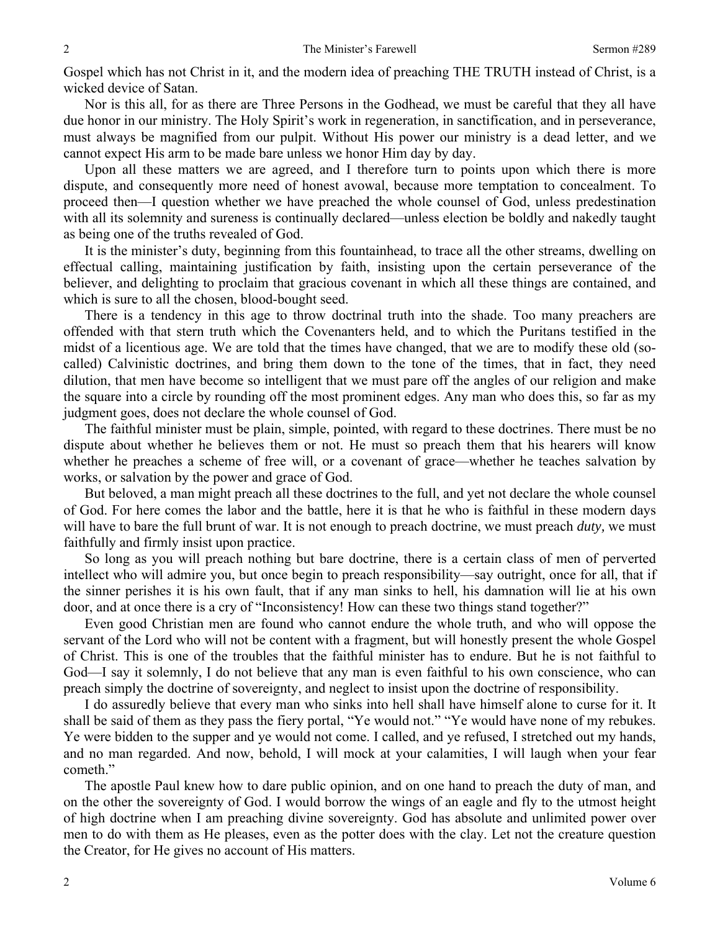Gospel which has not Christ in it, and the modern idea of preaching THE TRUTH instead of Christ, is a wicked device of Satan.

Nor is this all, for as there are Three Persons in the Godhead, we must be careful that they all have due honor in our ministry. The Holy Spirit's work in regeneration, in sanctification, and in perseverance, must always be magnified from our pulpit. Without His power our ministry is a dead letter, and we cannot expect His arm to be made bare unless we honor Him day by day.

Upon all these matters we are agreed, and I therefore turn to points upon which there is more dispute, and consequently more need of honest avowal, because more temptation to concealment. To proceed then—I question whether we have preached the whole counsel of God, unless predestination with all its solemnity and sureness is continually declared—unless election be boldly and nakedly taught as being one of the truths revealed of God.

It is the minister's duty, beginning from this fountainhead, to trace all the other streams, dwelling on effectual calling, maintaining justification by faith, insisting upon the certain perseverance of the believer, and delighting to proclaim that gracious covenant in which all these things are contained, and which is sure to all the chosen, blood-bought seed.

There is a tendency in this age to throw doctrinal truth into the shade. Too many preachers are offended with that stern truth which the Covenanters held, and to which the Puritans testified in the midst of a licentious age. We are told that the times have changed, that we are to modify these old (socalled) Calvinistic doctrines, and bring them down to the tone of the times, that in fact, they need dilution, that men have become so intelligent that we must pare off the angles of our religion and make the square into a circle by rounding off the most prominent edges. Any man who does this, so far as my judgment goes, does not declare the whole counsel of God.

The faithful minister must be plain, simple, pointed, with regard to these doctrines. There must be no dispute about whether he believes them or not. He must so preach them that his hearers will know whether he preaches a scheme of free will, or a covenant of grace—whether he teaches salvation by works, or salvation by the power and grace of God.

But beloved, a man might preach all these doctrines to the full, and yet not declare the whole counsel of God. For here comes the labor and the battle, here it is that he who is faithful in these modern days will have to bare the full brunt of war. It is not enough to preach doctrine, we must preach *duty,* we must faithfully and firmly insist upon practice.

So long as you will preach nothing but bare doctrine, there is a certain class of men of perverted intellect who will admire you, but once begin to preach responsibility—say outright, once for all, that if the sinner perishes it is his own fault, that if any man sinks to hell, his damnation will lie at his own door, and at once there is a cry of "Inconsistency! How can these two things stand together?"

Even good Christian men are found who cannot endure the whole truth, and who will oppose the servant of the Lord who will not be content with a fragment, but will honestly present the whole Gospel of Christ. This is one of the troubles that the faithful minister has to endure. But he is not faithful to God—I say it solemnly, I do not believe that any man is even faithful to his own conscience, who can preach simply the doctrine of sovereignty, and neglect to insist upon the doctrine of responsibility.

I do assuredly believe that every man who sinks into hell shall have himself alone to curse for it. It shall be said of them as they pass the fiery portal, "Ye would not." "Ye would have none of my rebukes. Ye were bidden to the supper and ye would not come. I called, and ye refused, I stretched out my hands, and no man regarded. And now, behold, I will mock at your calamities, I will laugh when your fear cometh."

The apostle Paul knew how to dare public opinion, and on one hand to preach the duty of man, and on the other the sovereignty of God. I would borrow the wings of an eagle and fly to the utmost height of high doctrine when I am preaching divine sovereignty. God has absolute and unlimited power over men to do with them as He pleases, even as the potter does with the clay. Let not the creature question the Creator, for He gives no account of His matters.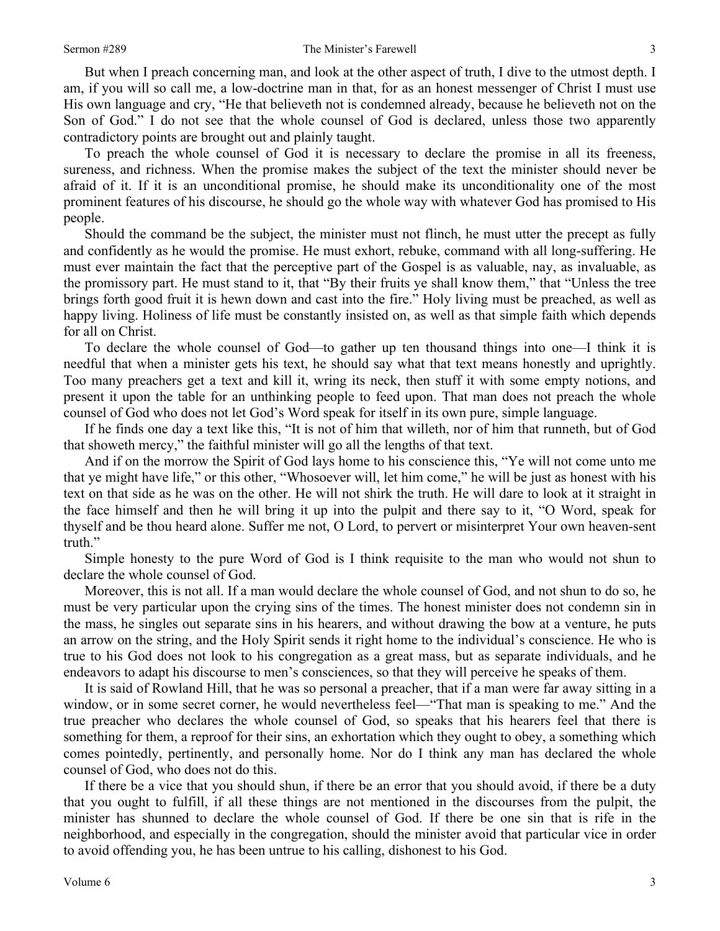But when I preach concerning man, and look at the other aspect of truth, I dive to the utmost depth. I am, if you will so call me, a low-doctrine man in that, for as an honest messenger of Christ I must use His own language and cry, "He that believeth not is condemned already, because he believeth not on the Son of God." I do not see that the whole counsel of God is declared, unless those two apparently contradictory points are brought out and plainly taught.

To preach the whole counsel of God it is necessary to declare the promise in all its freeness, sureness, and richness. When the promise makes the subject of the text the minister should never be afraid of it. If it is an unconditional promise, he should make its unconditionality one of the most prominent features of his discourse, he should go the whole way with whatever God has promised to His people.

Should the command be the subject, the minister must not flinch, he must utter the precept as fully and confidently as he would the promise. He must exhort, rebuke, command with all long-suffering. He must ever maintain the fact that the perceptive part of the Gospel is as valuable, nay, as invaluable, as the promissory part. He must stand to it, that "By their fruits ye shall know them," that "Unless the tree brings forth good fruit it is hewn down and cast into the fire." Holy living must be preached, as well as happy living. Holiness of life must be constantly insisted on, as well as that simple faith which depends for all on Christ.

To declare the whole counsel of God—to gather up ten thousand things into one—I think it is needful that when a minister gets his text, he should say what that text means honestly and uprightly. Too many preachers get a text and kill it, wring its neck, then stuff it with some empty notions, and present it upon the table for an unthinking people to feed upon. That man does not preach the whole counsel of God who does not let God's Word speak for itself in its own pure, simple language.

If he finds one day a text like this, "It is not of him that willeth, nor of him that runneth, but of God that showeth mercy," the faithful minister will go all the lengths of that text.

And if on the morrow the Spirit of God lays home to his conscience this, "Ye will not come unto me that ye might have life," or this other, "Whosoever will, let him come," he will be just as honest with his text on that side as he was on the other. He will not shirk the truth. He will dare to look at it straight in the face himself and then he will bring it up into the pulpit and there say to it, "O Word, speak for thyself and be thou heard alone. Suffer me not, O Lord, to pervert or misinterpret Your own heaven-sent truth."

Simple honesty to the pure Word of God is I think requisite to the man who would not shun to declare the whole counsel of God.

Moreover, this is not all. If a man would declare the whole counsel of God, and not shun to do so, he must be very particular upon the crying sins of the times. The honest minister does not condemn sin in the mass, he singles out separate sins in his hearers, and without drawing the bow at a venture, he puts an arrow on the string, and the Holy Spirit sends it right home to the individual's conscience. He who is true to his God does not look to his congregation as a great mass, but as separate individuals, and he endeavors to adapt his discourse to men's consciences, so that they will perceive he speaks of them.

It is said of Rowland Hill, that he was so personal a preacher, that if a man were far away sitting in a window, or in some secret corner, he would nevertheless feel—"That man is speaking to me." And the true preacher who declares the whole counsel of God, so speaks that his hearers feel that there is something for them, a reproof for their sins, an exhortation which they ought to obey, a something which comes pointedly, pertinently, and personally home. Nor do I think any man has declared the whole counsel of God, who does not do this.

If there be a vice that you should shun, if there be an error that you should avoid, if there be a duty that you ought to fulfill, if all these things are not mentioned in the discourses from the pulpit, the minister has shunned to declare the whole counsel of God. If there be one sin that is rife in the neighborhood, and especially in the congregation, should the minister avoid that particular vice in order to avoid offending you, he has been untrue to his calling, dishonest to his God.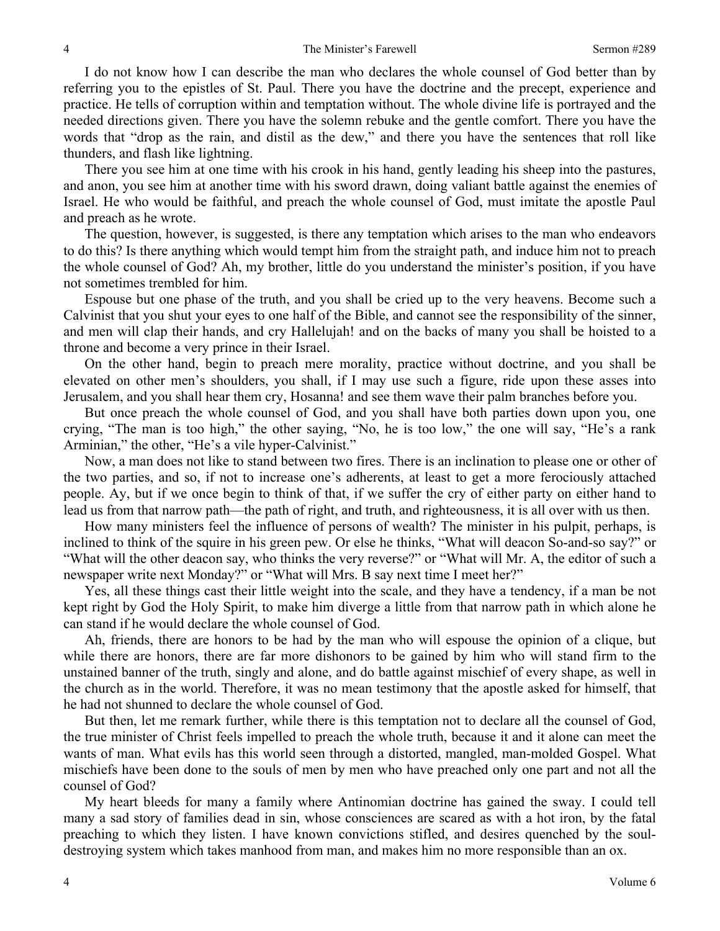I do not know how I can describe the man who declares the whole counsel of God better than by referring you to the epistles of St. Paul. There you have the doctrine and the precept, experience and practice. He tells of corruption within and temptation without. The whole divine life is portrayed and the needed directions given. There you have the solemn rebuke and the gentle comfort. There you have the words that "drop as the rain, and distil as the dew," and there you have the sentences that roll like thunders, and flash like lightning.

There you see him at one time with his crook in his hand, gently leading his sheep into the pastures, and anon, you see him at another time with his sword drawn, doing valiant battle against the enemies of Israel. He who would be faithful, and preach the whole counsel of God, must imitate the apostle Paul and preach as he wrote.

The question, however, is suggested, is there any temptation which arises to the man who endeavors to do this? Is there anything which would tempt him from the straight path, and induce him not to preach the whole counsel of God? Ah, my brother, little do you understand the minister's position, if you have not sometimes trembled for him.

Espouse but one phase of the truth, and you shall be cried up to the very heavens. Become such a Calvinist that you shut your eyes to one half of the Bible, and cannot see the responsibility of the sinner, and men will clap their hands, and cry Hallelujah! and on the backs of many you shall be hoisted to a throne and become a very prince in their Israel.

On the other hand, begin to preach mere morality, practice without doctrine, and you shall be elevated on other men's shoulders, you shall, if I may use such a figure, ride upon these asses into Jerusalem, and you shall hear them cry, Hosanna! and see them wave their palm branches before you.

But once preach the whole counsel of God, and you shall have both parties down upon you, one crying, "The man is too high," the other saying, "No, he is too low," the one will say, "He's a rank Arminian," the other, "He's a vile hyper-Calvinist."

Now, a man does not like to stand between two fires. There is an inclination to please one or other of the two parties, and so, if not to increase one's adherents, at least to get a more ferociously attached people. Ay, but if we once begin to think of that, if we suffer the cry of either party on either hand to lead us from that narrow path—the path of right, and truth, and righteousness, it is all over with us then.

How many ministers feel the influence of persons of wealth? The minister in his pulpit, perhaps, is inclined to think of the squire in his green pew. Or else he thinks, "What will deacon So-and-so say?" or "What will the other deacon say, who thinks the very reverse?" or "What will Mr. A, the editor of such a newspaper write next Monday?" or "What will Mrs. B say next time I meet her?"

Yes, all these things cast their little weight into the scale, and they have a tendency, if a man be not kept right by God the Holy Spirit, to make him diverge a little from that narrow path in which alone he can stand if he would declare the whole counsel of God.

Ah, friends, there are honors to be had by the man who will espouse the opinion of a clique, but while there are honors, there are far more dishonors to be gained by him who will stand firm to the unstained banner of the truth, singly and alone, and do battle against mischief of every shape, as well in the church as in the world. Therefore, it was no mean testimony that the apostle asked for himself, that he had not shunned to declare the whole counsel of God.

But then, let me remark further, while there is this temptation not to declare all the counsel of God, the true minister of Christ feels impelled to preach the whole truth, because it and it alone can meet the wants of man. What evils has this world seen through a distorted, mangled, man-molded Gospel. What mischiefs have been done to the souls of men by men who have preached only one part and not all the counsel of God?

My heart bleeds for many a family where Antinomian doctrine has gained the sway. I could tell many a sad story of families dead in sin, whose consciences are scared as with a hot iron, by the fatal preaching to which they listen. I have known convictions stifled, and desires quenched by the souldestroying system which takes manhood from man, and makes him no more responsible than an ox.

Volume 6

4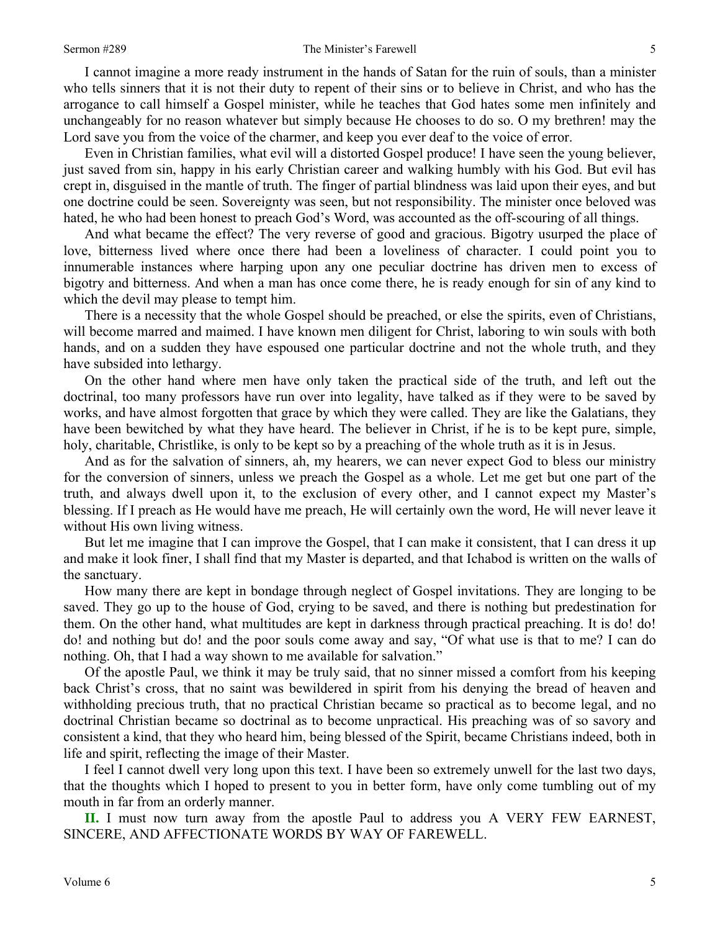## Sermon #289 The Minister's Farewell

I cannot imagine a more ready instrument in the hands of Satan for the ruin of souls, than a minister who tells sinners that it is not their duty to repent of their sins or to believe in Christ, and who has the arrogance to call himself a Gospel minister, while he teaches that God hates some men infinitely and unchangeably for no reason whatever but simply because He chooses to do so. O my brethren! may the Lord save you from the voice of the charmer, and keep you ever deaf to the voice of error.

Even in Christian families, what evil will a distorted Gospel produce! I have seen the young believer, just saved from sin, happy in his early Christian career and walking humbly with his God. But evil has crept in, disguised in the mantle of truth. The finger of partial blindness was laid upon their eyes, and but one doctrine could be seen. Sovereignty was seen, but not responsibility. The minister once beloved was hated, he who had been honest to preach God's Word, was accounted as the off-scouring of all things.

And what became the effect? The very reverse of good and gracious. Bigotry usurped the place of love, bitterness lived where once there had been a loveliness of character. I could point you to innumerable instances where harping upon any one peculiar doctrine has driven men to excess of bigotry and bitterness. And when a man has once come there, he is ready enough for sin of any kind to which the devil may please to tempt him.

There is a necessity that the whole Gospel should be preached, or else the spirits, even of Christians, will become marred and maimed. I have known men diligent for Christ, laboring to win souls with both hands, and on a sudden they have espoused one particular doctrine and not the whole truth, and they have subsided into lethargy.

On the other hand where men have only taken the practical side of the truth, and left out the doctrinal, too many professors have run over into legality, have talked as if they were to be saved by works, and have almost forgotten that grace by which they were called. They are like the Galatians, they have been bewitched by what they have heard. The believer in Christ, if he is to be kept pure, simple, holy, charitable, Christlike, is only to be kept so by a preaching of the whole truth as it is in Jesus.

And as for the salvation of sinners, ah, my hearers, we can never expect God to bless our ministry for the conversion of sinners, unless we preach the Gospel as a whole. Let me get but one part of the truth, and always dwell upon it, to the exclusion of every other, and I cannot expect my Master's blessing. If I preach as He would have me preach, He will certainly own the word, He will never leave it without His own living witness.

But let me imagine that I can improve the Gospel, that I can make it consistent, that I can dress it up and make it look finer, I shall find that my Master is departed, and that Ichabod is written on the walls of the sanctuary.

How many there are kept in bondage through neglect of Gospel invitations. They are longing to be saved. They go up to the house of God, crying to be saved, and there is nothing but predestination for them. On the other hand, what multitudes are kept in darkness through practical preaching. It is do! do! do! and nothing but do! and the poor souls come away and say, "Of what use is that to me? I can do nothing. Oh, that I had a way shown to me available for salvation."

Of the apostle Paul, we think it may be truly said, that no sinner missed a comfort from his keeping back Christ's cross, that no saint was bewildered in spirit from his denying the bread of heaven and withholding precious truth, that no practical Christian became so practical as to become legal, and no doctrinal Christian became so doctrinal as to become unpractical. His preaching was of so savory and consistent a kind, that they who heard him, being blessed of the Spirit, became Christians indeed, both in life and spirit, reflecting the image of their Master.

I feel I cannot dwell very long upon this text. I have been so extremely unwell for the last two days, that the thoughts which I hoped to present to you in better form, have only come tumbling out of my mouth in far from an orderly manner.

**II.** I must now turn away from the apostle Paul to address you A VERY FEW EARNEST, SINCERE, AND AFFECTIONATE WORDS BY WAY OF FAREWELL.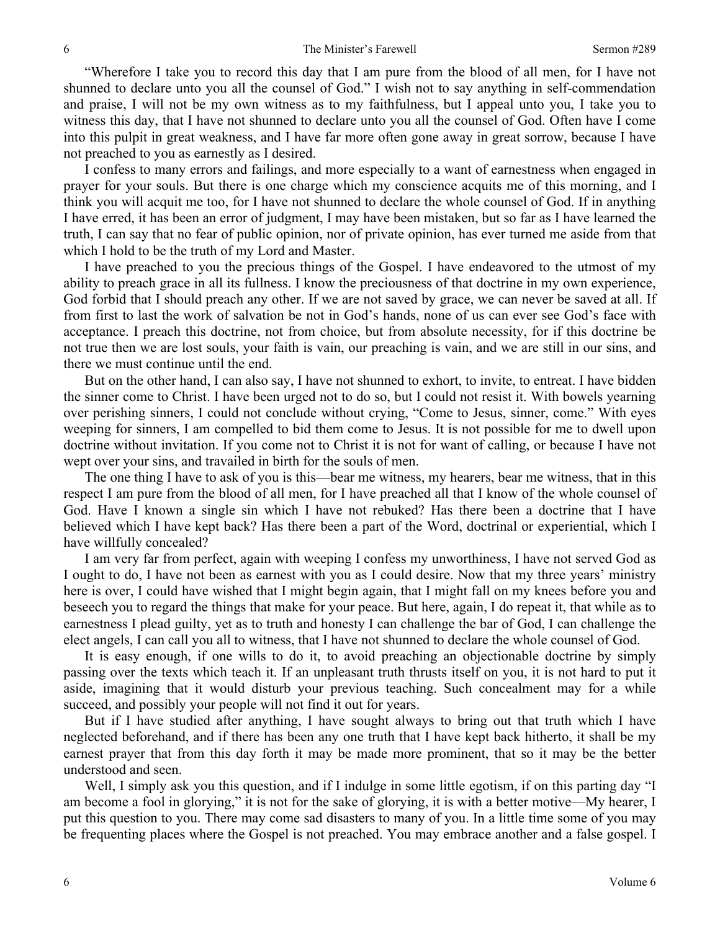"Wherefore I take you to record this day that I am pure from the blood of all men, for I have not shunned to declare unto you all the counsel of God." I wish not to say anything in self-commendation and praise, I will not be my own witness as to my faithfulness, but I appeal unto you, I take you to witness this day, that I have not shunned to declare unto you all the counsel of God. Often have I come into this pulpit in great weakness, and I have far more often gone away in great sorrow, because I have not preached to you as earnestly as I desired.

I confess to many errors and failings, and more especially to a want of earnestness when engaged in prayer for your souls. But there is one charge which my conscience acquits me of this morning, and I think you will acquit me too, for I have not shunned to declare the whole counsel of God. If in anything I have erred, it has been an error of judgment, I may have been mistaken, but so far as I have learned the truth, I can say that no fear of public opinion, nor of private opinion, has ever turned me aside from that which I hold to be the truth of my Lord and Master.

I have preached to you the precious things of the Gospel. I have endeavored to the utmost of my ability to preach grace in all its fullness. I know the preciousness of that doctrine in my own experience, God forbid that I should preach any other. If we are not saved by grace, we can never be saved at all. If from first to last the work of salvation be not in God's hands, none of us can ever see God's face with acceptance. I preach this doctrine, not from choice, but from absolute necessity, for if this doctrine be not true then we are lost souls, your faith is vain, our preaching is vain, and we are still in our sins, and there we must continue until the end.

But on the other hand, I can also say, I have not shunned to exhort, to invite, to entreat. I have bidden the sinner come to Christ. I have been urged not to do so, but I could not resist it. With bowels yearning over perishing sinners, I could not conclude without crying, "Come to Jesus, sinner, come." With eyes weeping for sinners, I am compelled to bid them come to Jesus. It is not possible for me to dwell upon doctrine without invitation. If you come not to Christ it is not for want of calling, or because I have not wept over your sins, and travailed in birth for the souls of men.

The one thing I have to ask of you is this—bear me witness, my hearers, bear me witness, that in this respect I am pure from the blood of all men, for I have preached all that I know of the whole counsel of God. Have I known a single sin which I have not rebuked? Has there been a doctrine that I have believed which I have kept back? Has there been a part of the Word, doctrinal or experiential, which I have willfully concealed?

I am very far from perfect, again with weeping I confess my unworthiness, I have not served God as I ought to do, I have not been as earnest with you as I could desire. Now that my three years' ministry here is over, I could have wished that I might begin again, that I might fall on my knees before you and beseech you to regard the things that make for your peace. But here, again, I do repeat it, that while as to earnestness I plead guilty, yet as to truth and honesty I can challenge the bar of God, I can challenge the elect angels, I can call you all to witness, that I have not shunned to declare the whole counsel of God.

It is easy enough, if one wills to do it, to avoid preaching an objectionable doctrine by simply passing over the texts which teach it. If an unpleasant truth thrusts itself on you, it is not hard to put it aside, imagining that it would disturb your previous teaching. Such concealment may for a while succeed, and possibly your people will not find it out for years.

But if I have studied after anything, I have sought always to bring out that truth which I have neglected beforehand, and if there has been any one truth that I have kept back hitherto, it shall be my earnest prayer that from this day forth it may be made more prominent, that so it may be the better understood and seen.

Well, I simply ask you this question, and if I indulge in some little egotism, if on this parting day "I am become a fool in glorying," it is not for the sake of glorying, it is with a better motive—My hearer, I put this question to you. There may come sad disasters to many of you. In a little time some of you may be frequenting places where the Gospel is not preached. You may embrace another and a false gospel. I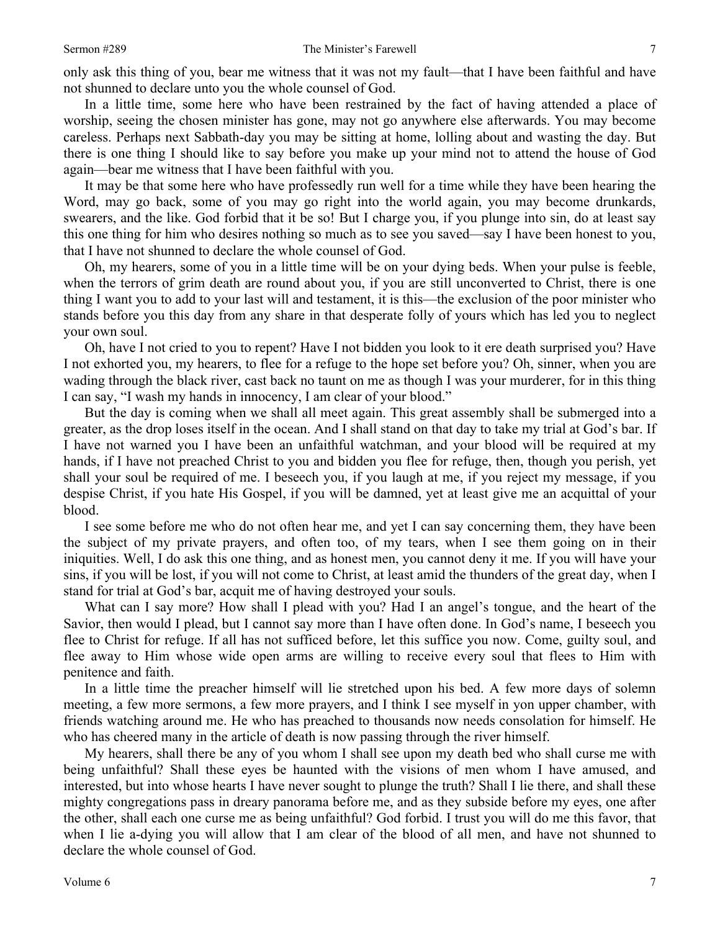only ask this thing of you, bear me witness that it was not my fault—that I have been faithful and have not shunned to declare unto you the whole counsel of God.

In a little time, some here who have been restrained by the fact of having attended a place of worship, seeing the chosen minister has gone, may not go anywhere else afterwards. You may become careless. Perhaps next Sabbath-day you may be sitting at home, lolling about and wasting the day. But there is one thing I should like to say before you make up your mind not to attend the house of God again—bear me witness that I have been faithful with you.

It may be that some here who have professedly run well for a time while they have been hearing the Word, may go back, some of you may go right into the world again, you may become drunkards, swearers, and the like. God forbid that it be so! But I charge you, if you plunge into sin, do at least say this one thing for him who desires nothing so much as to see you saved—say I have been honest to you, that I have not shunned to declare the whole counsel of God.

Oh, my hearers, some of you in a little time will be on your dying beds. When your pulse is feeble, when the terrors of grim death are round about you, if you are still unconverted to Christ, there is one thing I want you to add to your last will and testament, it is this—the exclusion of the poor minister who stands before you this day from any share in that desperate folly of yours which has led you to neglect your own soul.

Oh, have I not cried to you to repent? Have I not bidden you look to it ere death surprised you? Have I not exhorted you, my hearers, to flee for a refuge to the hope set before you? Oh, sinner, when you are wading through the black river, cast back no taunt on me as though I was your murderer, for in this thing I can say, "I wash my hands in innocency, I am clear of your blood."

But the day is coming when we shall all meet again. This great assembly shall be submerged into a greater, as the drop loses itself in the ocean. And I shall stand on that day to take my trial at God's bar. If I have not warned you I have been an unfaithful watchman, and your blood will be required at my hands, if I have not preached Christ to you and bidden you flee for refuge, then, though you perish, yet shall your soul be required of me. I beseech you, if you laugh at me, if you reject my message, if you despise Christ, if you hate His Gospel, if you will be damned, yet at least give me an acquittal of your blood.

I see some before me who do not often hear me, and yet I can say concerning them, they have been the subject of my private prayers, and often too, of my tears, when I see them going on in their iniquities. Well, I do ask this one thing, and as honest men, you cannot deny it me. If you will have your sins, if you will be lost, if you will not come to Christ, at least amid the thunders of the great day, when I stand for trial at God's bar, acquit me of having destroyed your souls.

What can I say more? How shall I plead with you? Had I an angel's tongue, and the heart of the Savior, then would I plead, but I cannot say more than I have often done. In God's name, I beseech you flee to Christ for refuge. If all has not sufficed before, let this suffice you now. Come, guilty soul, and flee away to Him whose wide open arms are willing to receive every soul that flees to Him with penitence and faith.

In a little time the preacher himself will lie stretched upon his bed. A few more days of solemn meeting, a few more sermons, a few more prayers, and I think I see myself in yon upper chamber, with friends watching around me. He who has preached to thousands now needs consolation for himself. He who has cheered many in the article of death is now passing through the river himself.

My hearers, shall there be any of you whom I shall see upon my death bed who shall curse me with being unfaithful? Shall these eyes be haunted with the visions of men whom I have amused, and interested, but into whose hearts I have never sought to plunge the truth? Shall I lie there, and shall these mighty congregations pass in dreary panorama before me, and as they subside before my eyes, one after the other, shall each one curse me as being unfaithful? God forbid. I trust you will do me this favor, that when I lie a-dying you will allow that I am clear of the blood of all men, and have not shunned to declare the whole counsel of God.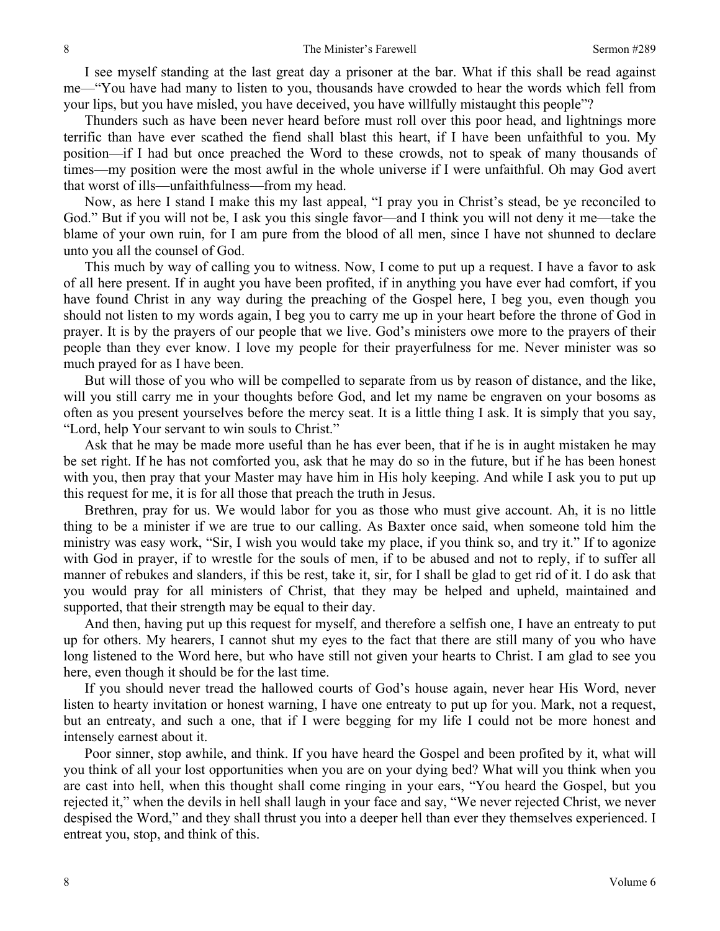I see myself standing at the last great day a prisoner at the bar. What if this shall be read against me—"You have had many to listen to you, thousands have crowded to hear the words which fell from your lips, but you have misled, you have deceived, you have willfully mistaught this people"?

Thunders such as have been never heard before must roll over this poor head, and lightnings more terrific than have ever scathed the fiend shall blast this heart, if I have been unfaithful to you. My position—if I had but once preached the Word to these crowds, not to speak of many thousands of times—my position were the most awful in the whole universe if I were unfaithful. Oh may God avert that worst of ills—unfaithfulness—from my head.

Now, as here I stand I make this my last appeal, "I pray you in Christ's stead, be ye reconciled to God." But if you will not be, I ask you this single favor—and I think you will not deny it me—take the blame of your own ruin, for I am pure from the blood of all men, since I have not shunned to declare unto you all the counsel of God.

This much by way of calling you to witness. Now, I come to put up a request. I have a favor to ask of all here present. If in aught you have been profited, if in anything you have ever had comfort, if you have found Christ in any way during the preaching of the Gospel here, I beg you, even though you should not listen to my words again, I beg you to carry me up in your heart before the throne of God in prayer. It is by the prayers of our people that we live. God's ministers owe more to the prayers of their people than they ever know. I love my people for their prayerfulness for me. Never minister was so much prayed for as I have been.

But will those of you who will be compelled to separate from us by reason of distance, and the like, will you still carry me in your thoughts before God, and let my name be engraven on your bosoms as often as you present yourselves before the mercy seat. It is a little thing I ask. It is simply that you say, "Lord, help Your servant to win souls to Christ."

Ask that he may be made more useful than he has ever been, that if he is in aught mistaken he may be set right. If he has not comforted you, ask that he may do so in the future, but if he has been honest with you, then pray that your Master may have him in His holy keeping. And while I ask you to put up this request for me, it is for all those that preach the truth in Jesus.

Brethren, pray for us. We would labor for you as those who must give account. Ah, it is no little thing to be a minister if we are true to our calling. As Baxter once said, when someone told him the ministry was easy work, "Sir, I wish you would take my place, if you think so, and try it." If to agonize with God in prayer, if to wrestle for the souls of men, if to be abused and not to reply, if to suffer all manner of rebukes and slanders, if this be rest, take it, sir, for I shall be glad to get rid of it. I do ask that you would pray for all ministers of Christ, that they may be helped and upheld, maintained and supported, that their strength may be equal to their day.

And then, having put up this request for myself, and therefore a selfish one, I have an entreaty to put up for others. My hearers, I cannot shut my eyes to the fact that there are still many of you who have long listened to the Word here, but who have still not given your hearts to Christ. I am glad to see you here, even though it should be for the last time.

If you should never tread the hallowed courts of God's house again, never hear His Word, never listen to hearty invitation or honest warning, I have one entreaty to put up for you. Mark, not a request, but an entreaty, and such a one, that if I were begging for my life I could not be more honest and intensely earnest about it.

Poor sinner, stop awhile, and think. If you have heard the Gospel and been profited by it, what will you think of all your lost opportunities when you are on your dying bed? What will you think when you are cast into hell, when this thought shall come ringing in your ears, "You heard the Gospel, but you rejected it," when the devils in hell shall laugh in your face and say, "We never rejected Christ, we never despised the Word," and they shall thrust you into a deeper hell than ever they themselves experienced. I entreat you, stop, and think of this.